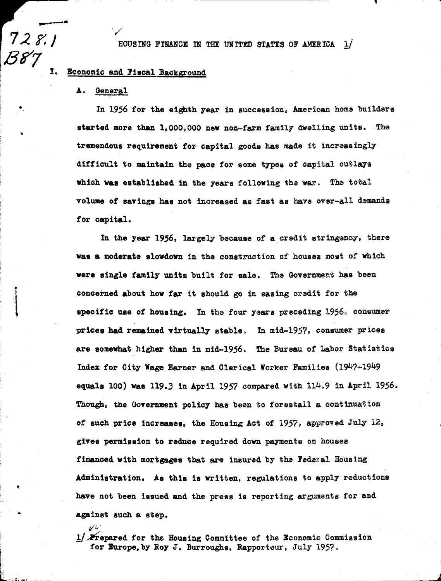HOUSING FINANCE IN THE UNITED STATES OF AMERICA 1/

#### Ĩ. Economic and Fiscal Background

#### Δ. General

びレ

 $7281$ 

**B87** 

In 1956 for the eighth year in succession, American home builders started more than 1,000,000 new non-farm family dwelling units. The tremendous requirement for capital goods has made it increasingly difficult to maintain the pace for some types of capital outlays which was established in the years following the war. The total volume of savings has not increased as fast as have over-all demands for capital.

In the year 1956, largely because of a credit stringency, there was a moderate slowdown in the construction of houses most of which were single family units built for sale. The Government has been concerned about how far it should go in easing credit for the specific use of housing. In the four years preceding 1956, consumer prices had remained virtually stable. In mid-1957, consumer prices are somewhat higher than in mid-1956. The Bureau of Labor Statistics Index for City Wage Earner and Clerical Worker Families (1947-1949 equals 100) was 119.3 in April 1957 compared with  $114.9$  in April 1956. Though, the Government policy has been to forestall a continuation of such price increases, the Housing Act of 1957, approved July 12, gives permission to reduce required down payments on houses financed with mortgages that are insured by the Federal Housing Administration. As this is written, regulations to apply reductions have not been issued and the press is reporting arguments for and against such a step.

 $1/\sqrt{2}$ repared for the Housing Committee of the Economic Commission for Europe, by Roy J. Burroughs, Rapporteur, July 1957.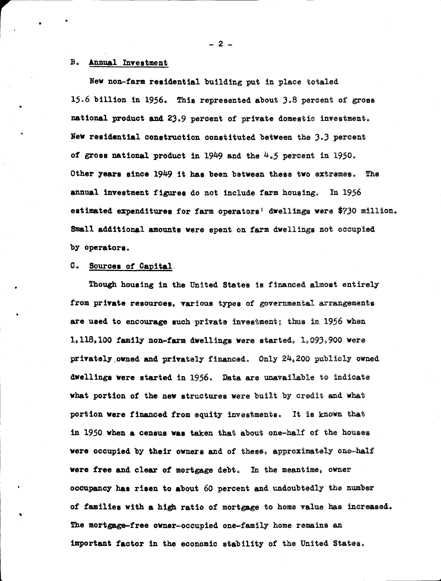## **B.** Annual Investment

New non-farm residential building put in place totaled 15.6 billion in 1956. This represented about 3.8 percent of gross national product and 23.9 percent of private domestic investment. New residential construction constituted between the 3.3 percent of gross national product in 1949 and the  $4.5$  percent in 1950. Other years since 1949 it has been between these two extremes. The annual investment figures do not include farm housing. In 1956 estimated expenditures for farm operators<sup>9</sup> dwellings were \$730 million. Small additional amounts were spent on farm dwellings not occupied by operators.

## C. Sources of Capital.

Though housing in the United States is financed almost entirely from private resources, various types of governmental arrangements are used to encourage such private investment; thus in 1956 when 1,118,100 family non-farm dwellings were started,  $1,093,900$  were privately owned and privately financed. Only 24,200 publicly owned dwellings were started in 1956. Data are unavailable to indicate what portion of the new structures were built by credit and what portion were financed from equity investments. It is known that in 1950 when a census was taken that about one-half of the houses were occupied by their owners and of these, approximately one-half were free and clear of mortgage debt. In the meantime, owner occupancy has risen to about 60 percent and undoubtedly the number of families with a high ratio of mortgage to home value has increased. The mortgage-free owner-occupied one-family home remains an important factor in the economic stability of the United States.

 $-2 -$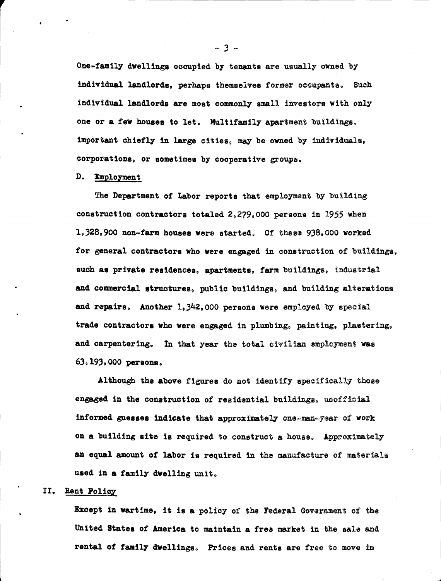One-family dwellings occupied by tenants are usually owned by individual landlords, perhaps themselves former occupants. Such individual landlords are most commonly small investors with only one or a few houses to let. Multifamily apartment buildings, important chiefly in large cities, may be owned by individuals, corporations, or sometimes by cooperative groups.

#### D. Employment

The Department of Labor reports that employment by building construction contractors totaled 2,279,000 persons in 1955 when 1.328.900 non-farm houses were started. Of these 938.000 worked for general contractors who were engaged in construction of buildings. such as private residences, apartments, farm buildings, industrial and commercial structures, public buildings, and building alterations and repairs. Another 1,342,000 persons were employed by special trade contractors who were engaged in plumbing, painting, plastering, and carpentering. In that year the total civilian employment was 63, 193, 000 регвода.

Although the above figures do not identify specifically those engaged in the construction of residential buildings, unofficial informed guesses indicate that approximately one-man-year of work on a building site is required to construct a house. Approximately an equal amount of labor is required in the manufacture of materials used in a family dwelling unit.

# II. Rent Policy

Except in wartime, it is a policy of the Federal Government of the United States of America to maintain a free market in the sale and rental of family dwellings. Prices and rents are free to move in

 $-3-$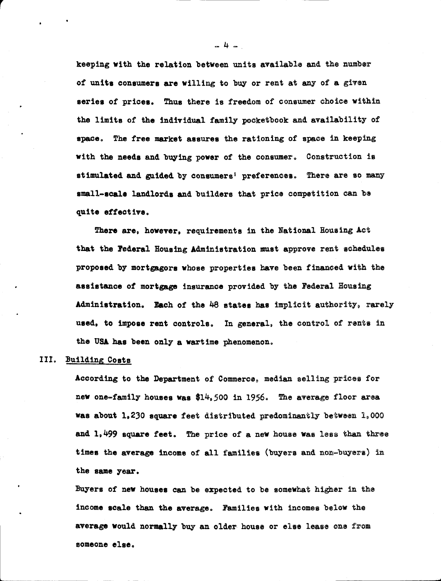keeping with the relation between units available and the number of units consumers are willing to buy or rent at any of a given series of prices. Thus there is freedom of consumer choice within the limits of the individual family pocketbook and availability of space. The free market assures the rationing of space in keeping with the needs and buying power of the consumer. Construction is stimulated and guided by consumers' preferences. There are so many small-scale landlords and builders that price competition can be quite effective.

There are, however, requirements in the National Housing Act that the Federal Housing Administration must approve rent schedules proposed by mortgagors whose properties have been financed with the assistance of mortgage insurance provided by the Federal Housing Administration. Each of the 48 states has implicit authority, rarely used, to impose rent controls. In general, the control of rents in the USA has been only a wartime phenomenon.

# III. Building Costs

According to the Department of Commerce, median selling prices for new one-family houses was \$14,500 in 1956. The average floor area was about 1,230 square feet distributed predominantly between 1,000 and  $1,499$  square feet. The price of a new house was less than three times the average income of all families (buyers and non-buyers) in the same year.

Buyers of new houses can be expected to be somewhat higher in the income scale than the average. Families with incomes below the average would normally buy an older house or else lease one from someone else.

-4-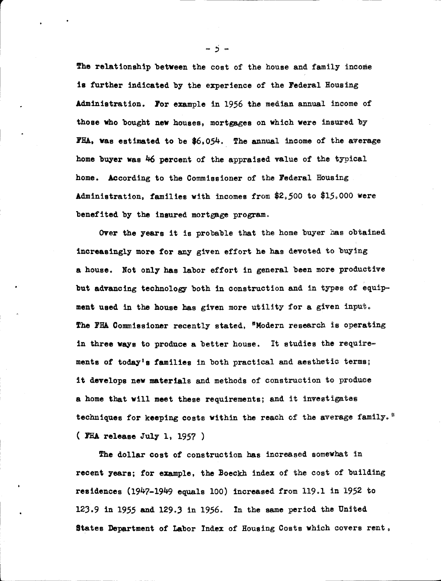The relationship between the cost of the house and family income is further indicated by the experience of the Federal Housing Administration. For example in 1956 the median annual income of those who bought new houses, mortgages on which were insured by FHA, was estimated to be \$6,054. The annual income of the average home buyer was 46 percent of the appraised value of the typical home. According to the Commissioner of the Federal Housing Administration, families with incomes from \$2,500 to \$15,000 were benefited by the insured mortgage program.

Over the years it is probable that the home buyer has obtained increasingly more for any given effort he has devoted to buying a house. Not only has labor effort in general been more productive but advancing technology both in construction and in types of equipment used in the house has given more utility for a given input. The FHA Commissioner recently stated, "Modern research is operating in three ways to produce a better house. It studies the requirements of today's families in both practical and aesthetic terms; it develops new materials and methods of construction to produce a home that will meet these requirements; and it investigates techniques for keeping costs within the reach of the average family." (FHA release July 1, 1957)

The dollar cost of construction has increased somewhat in recent years; for example, the Boeckh index of the cost of building residences (1947-1949 equals 100) increased from 119.1 in 1952 to 123.9 in 1955 and 129.3 in 1956. In the same period the United States Department of Labor Index of Housing Costs which covers rent,

-5-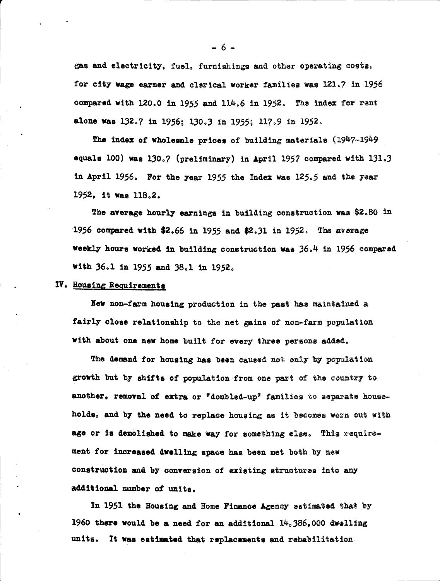gas and electricity, fuel, furnishings and other operating costs, for city wage earner and clerical worker families was 121.7 in 1956 compared with 120.0 in 1955 and 114.6 in 1952. The index for rent alone was 132.7 in 1956; 130.3 in 1955; 117.9 in 1952.

The index of wholesale prices of building materials (1947-1949) equals 100) was 130.7 (preliminary) in April 1957 compared with 131.3 in April 1956. For the year 1955 the Index was  $125.5$  and the year 1952, it was 118.2.

The average hourly earnings in building construction was \$2.80 in 1956 compared with \$2.66 in 1955 and \$2.31 in 1952. The average weekly hours worked in building construction was 36.4 in 1956 compared with 36.1 in 1955 and 38.1 in 1952.

## IV. Housing Requirements

New non-farm housing production in the past has maintained a fairly close relationship to the net gains of non-farm population with about one new home built for every three persons added.

The demand for housing has been caused not only by population growth but by shifts of population from one part of the country to another, removal of extra or "doubled-up" families to separate households, and by the need to replace housing as it becomes worn out with age or is demolished to make way for something else. This requirement for increased dwelling space has been met both by new construction and by conversion of existing structures into any additional number of units.

In 1951 the Housing and Home Finance Agency estimated that by 1960 there would be a need for an additional  $14,386,000$  dwelling units. It was estimated that replacements and rehabilitation

 $-6-$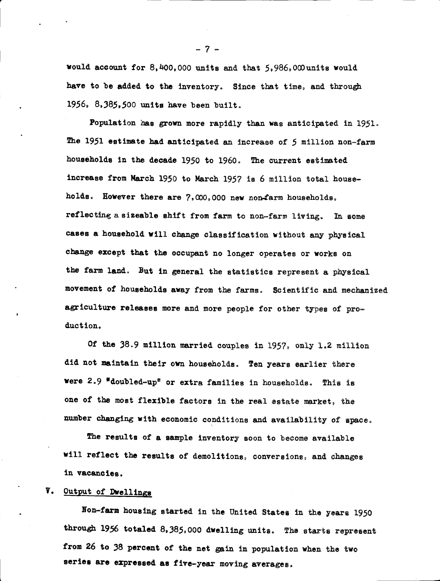would account for 8,400,000 units and that 5,986,000 units would have to be added to the inventory. Since that time, and through 1956,  $8,385,500$  units have been built.

Population has grown more rapidly than was anticipated in 1951. The 1951 estimate had anticipated an increase of 5 million non-farm households in the decade 1950 to 1960. The current estimated increase from March 1950 to March 1957 is 6 million total households. However there are 7,000,000 new non-farm households, reflecting a sizeable shift from farm to non-farm living. In some cases a household will change classification without any physical change except that the occupant no longer operates or works on the farm land. But in general the statistics represent a physical movement of households away from the farms. Scientific and mechanized agriculture releases more and more people for other types of production.

Of the 38.9 million married couples in 1957, only 1.2 million did not maintain their own households. Ten years earlier there were 2.9 "doubled-up" or extra families in households. This is one of the most flexible factors in the real estate market, the number changing with economic conditions and availability of space.

The results of a sample inventory soon to become available will reflect the results of demolitions, conversions, and changes in vacancies.

# V. Output of Dwellings

Non-farm housing started in the United States in the years 1950 through 1956 totaled 8,385,000 dwelling units. The starts represent from 26 to 38 percent of the net gain in population when the two series are expressed as five-year moving averages.

 $-7-$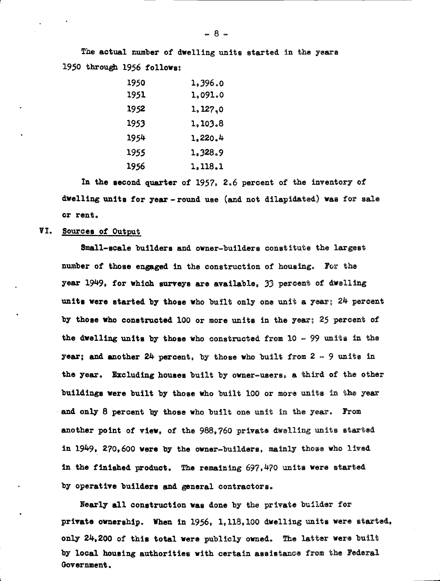The actual number of dwelling units started in the years 1950 through 1956 follows:

| 1950 | 1,396.0  |
|------|----------|
| 1951 | 1,091.0  |
| 1952 | 1, 127,0 |
| 1953 | 1,103.8  |
| 1954 | 1,220.4  |
| 1955 | 1,328.9  |
| 1956 | 1,118.1  |

In the second quarter of 1957, 2.6 percent of the inventory of dwelling units for year-round use (and not dilapidated) was for sale or rent.

## VI. Sources of Output

Small-scale builders and owner-builders constitute the largest number of those engaged in the construction of housing. For the year 1949, for which surveys are available, 33 percent of dwelling units were started by those who built only one unit a year; 24 percent by those who constructed 100 or more units in the year; 25 percent of the dwelling units by those who constructed from  $10 - 99$  units in the year; and another 24 percent, by those who built from  $2 - 9$  units in the year. Excluding houses built by owner-users, a third of the other buildings were built by those who built 100 or more units in the year and only 8 percent by those who built one unit in the year. From another point of view, of the 988.760 private dwelling units started in 1949, 270,600 were by the owner-builders, mainly those who lived in the finished product. The remaining  $697,470$  units were started by operative builders and general contractors.

Nearly all construction was done by the private builder for private ownership. When in 1956, 1,118,100 dwelling units were started, only 24,200 of this total were publicly owned. The latter were built by local housing authorities with certain assistance from the Federal Government.

 $-8 -$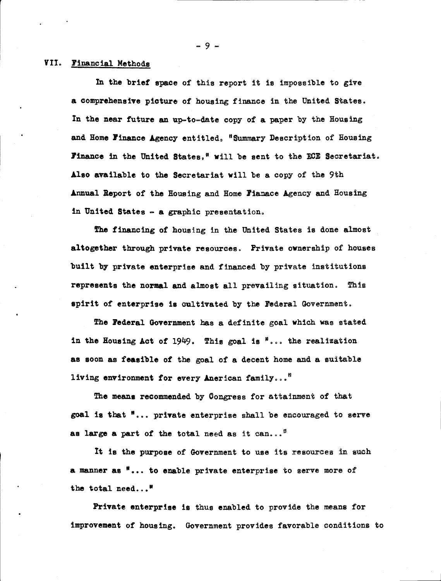### VII. Financial Methods

In the brief space of this report it is impossible to give a comprehensive picture of housing finance in the United States. In the near future an up-to-date copy of a paper by the Housing and Home Finance Agency entitled, "Summary Description of Housing Finance in the United States," will be sent to the ECE Secretariat. Also available to the Secretariat will be a copy of the 9th Annual Report of the Housing and Home Fianace Agency and Housing in United States - a graphic presentation.

The financing of housing in the United States is done almost altogether through private resources. Private ownership of houses built by private enterprise and financed by private institutions represents the normal and almost all prevailing situation. This spirit of enterprise is cultivated by the Federal Government.

The Federal Government has a definite goal which was stated in the Housing Act of 1949. This goal is  $\alpha$ ... the realization as soon as feasible of the goal of a decent home and a suitable living environment for every Anerican family..."

The means recommended by Congress for attainment of that goal is that "... private enterprise shall be encouraged to serve as large a part of the total need as it can...<sup>11</sup>

It is the purpose of Government to use its resources in such a manner as "... to enable private enterprise to serve more of the total need..."

Private enterprise is thus enabled to provide the means for improvement of housing. Government provides favorable conditions to

-9-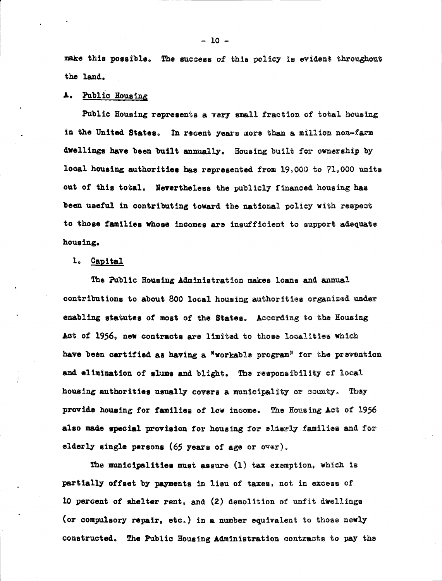make this possible. The success of this policy is evident throughout the land.

## A. Public Housing

Public Housing represents a very small fraction of total housing in the United States. In recent years more than a million non-farm dwellings have been built annually. Housing built for ownership by local housing authorities has represented from  $19,000$  to  $71,000$  units out of this total. Nevertheless the publicly financed housing has been useful in contributing toward the national policy with respect to those families whose incomes are insufficient to support adequate housing.

#### 1. Capital

The Public Housing Administration makes loans and annual contributions to about 800 local housing authorities organized under enabling statutes of most of the States. According to the Housing Act of 1956, new contracts are limited to those localities which have been certified as having a "workable program" for the prevention and elimination of slums and blight. The responsibility of local housing authorities usually covers a municipality or county. They provide housing for families of low income. The Housing Act of 1956 also made special provision for housing for elderly families and for elderly single persons (65 years of age or over).

The municipalities must assure  $(1)$  tax exemption, which is partially offset by payments in lieu of taxes, not in excess of 10 percent of shelter rent, and (2) demolition of unfit dwellings (or compulsory repair, etc.) in a number equivalent to those newly constructed. The Public Housing Administration contracts to pay the

 $-10 -$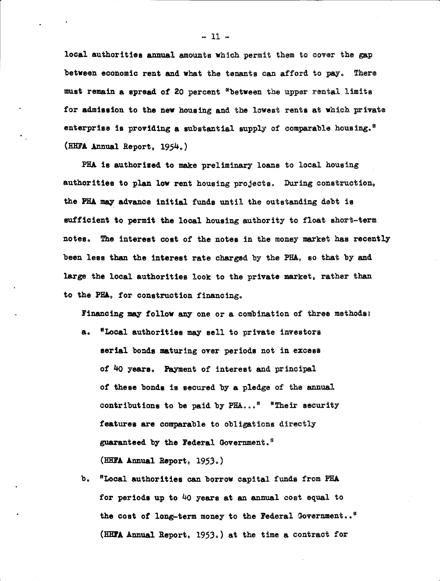local authorities annual amounts which permit them to cover the gap between economic rent and what the tenants can afford to pay. There must remain a spread of 20 percent "between the upper rental limits for admission to the new housing and the lowest rents at which private enterprise is providing a substantial supply of comparable housing." (HHFA Annual Report, 1954.)

PHA is authorized to make preliminary loans to local housing authorities to plan low rent housing projects. During construction, the PHA may advance initial funds until the outstanding debt is sufficient to permit the local housing authority to float short-term notes. The interest cost of the notes in the money market has recently been less than the interest rate charged by the PHA, so that by and large the local authorities look to the private market, rather than to the PHA, for construction financing.

Financing may follow any one or a combination of three methods:

- "Local authorities may sell to private investors  $a<sub>o</sub>$ serial bonds maturing over periods not in excess of 40 years. Payment of interest and principal of these bonds is secured by a pledge of the annual contributions to be paid by PHA..." "Their security features are comparable to obligations directly guaranteed by the Federal Government.<sup>00</sup> (HHFA Annual Report, 1953.)
- $\mathbf{b}$ . "Local authorities can borrow capital funds from PHA for periods up to 40 years at an annual cost equal to the cost of long-term money to the Federal Government.." (HHTA Annual Report, 1953.) at the time a contract for

 $-11-$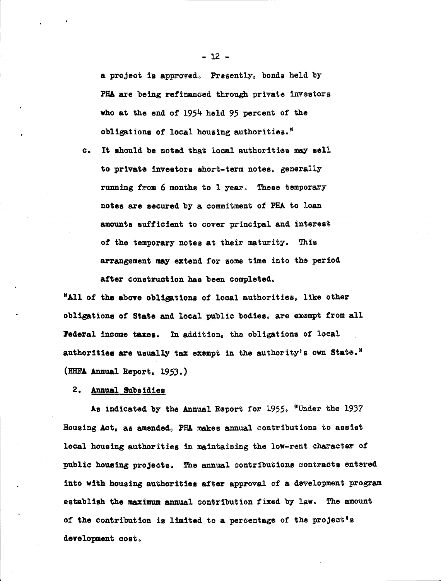a project is approved. Presently, bonds held by PHA are being refinanced through private investors who at the end of 1954 held 95 percent of the obligations of local housing authorities."

It should be noted that local authorities may sell  $c_{\bullet}$ to private investors short-term notes, generally running from 6 months to 1 year. These temporary notes are secured by a commitment of PHA to loan amounts sufficient to cover principal and interest of the temporary notes at their maturity. This arrangement may extend for some time into the period after construction has been completed.

"All of the above obligations of local authorities, like other obligations of State and local public bodies, are exampt from all Federal income taxes. In addition, the obligations of local authorities are usually tax exempt in the authority's own State." (HHTA Annual Report, 1953.)

2. Annual Subsidies

As indicated by the Annual Report for 1955, "Under the 1937 Housing Act, as amended. PHA makes annual contributions to assist local housing authorities in maintaining the low-rent character of public housing projects. The annual contributions contracts entered into with housing authorities after approval of a development program establish the maximum annual contribution fixed by law. The amount of the contribution is limited to a percentage of the project's development cost.

 $-12 -$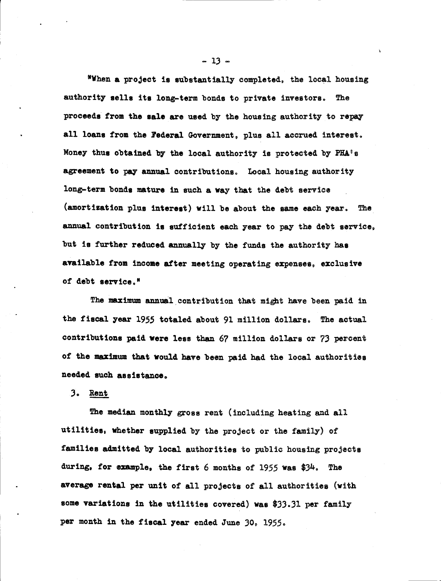"When a project is substantially completed, the local housing authority sells its long-term bonds to private investors. The proceeds from the sale are used by the housing authority to repay all loans from the Federal Government, plus all accrued interest. Money thus obtained by the local authority is protected by PHA's agreement to pay annual contributions. Local housing authority long-term bonds mature in such a way that the debt service (amortization plus interest) will be about the same each year. The annual contribution is sufficient each year to pay the debt service, but is further reduced annually by the funds the authority has available from income after meeting operating expenses, exclusive of debt service."

The maximum annual contribution that might have been paid in the fiscal year 1955 totaled about 91 million dollars. The actual contributions paid were less than 67 million dollars or 73 percent of the maximum that would have been paid had the local authorities needed such assistance.

3. Rent

The median monthly gross rent (including heating and all utilities, whether supplied by the project or the family) of families admitted by local authorities to public housing projects during, for example, the first 6 months of 1955 was \$34. The average rental per unit of all projects of all authorities (with some variations in the utilities covered) was \$33.31 per family per month in the fiscal year ended June 30, 1955.

 $-13 -$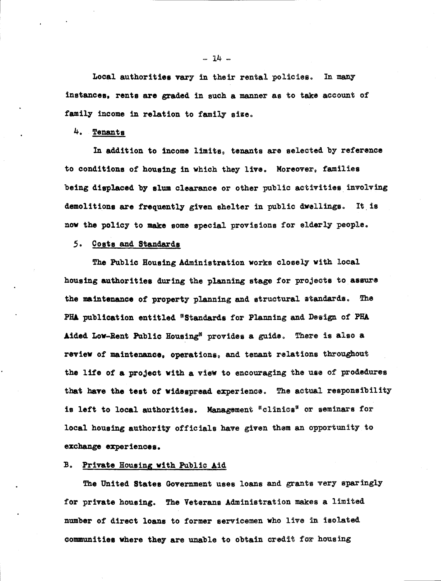Local authorities vary in their rental policies. In many instances, rents are graded in such a manner as to take account of family income in relation to family size.

4. Tenants

In addition to income limits, tenants are selected by reference to conditions of housing in which they live. Moreover, families being displaced by slum clearance or other public activities involving demolitions are frequently given shelter in public dwellings. It is now the policy to make some special provisions for elderly people.

### 5. Costs and Standards

The Public Housing Administration works closely with local housing authorities during the planning stage for projects to assure the maintenance of property planning and structural standards. The PHA publication entitled "Standards for Planning and Design of PHA Aided Low-Rent Public Housing<sup>®</sup> provides a guide. There is also a review of maintenance, operations, and tenant relations throughout the life of a project with a view to encouraging the use of prodedures that have the test of widespread experience. The actual responsibility is left to local authorities. Management "clinics" or seminars for local housing authority officials have given them an opportunity to exchange experiences.

#### B. Private Housing with Public Aid

The United States Government uses loans and grants very sparingly for private housing. The Veterans Administration makes a limited number of direct loans to former servicemen who live in isolated communities where they are unable to obtain credit for housing

 $-14-$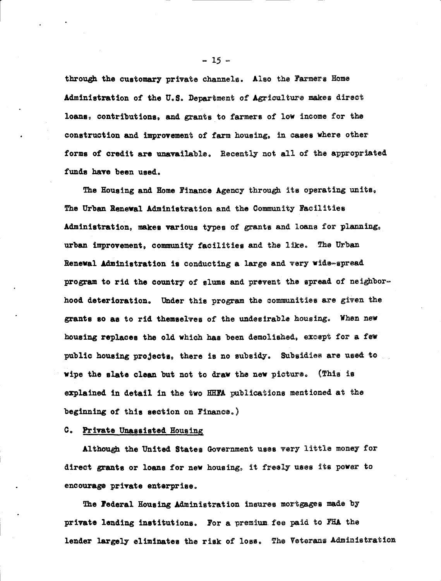through the customary private channels. Also the Farmers Home Administration of the U.S. Department of Agriculture makes direct loans, contributions, and grants to farmers of low income for the construction and improvement of farm housing, in cases where other forms of credit are unavailable. Recently not all of the appropriated funds have been used.

The Housing and Home Finance Agency through its operating units. The Urban Renewal Administration and the Community Facilities Administration, makes various types of grants and loans for planning, urban improvement, community facilities and the like. The Urban Renewal Administration is conducting a large and very wide-spread program to rid the country of slums and prevent the spread of neighborhood deterioration. Under this program the communities are given the grants so as to rid themselves of the undesirable housing. When new housing replaces the old which has been demolished, except for a few public housing projects, there is no subsidy. Subsidies are used to wipe the slate clean but not to draw the new picture. (This is explained in detail in the two HHFA publications mentioned at the beginning of this section on Finance.)

#### C. Private Unassisted Housing

Although the United States Government uses very little money for direct grants or loans for new housing, it freely uses its power to encourage private enterprise.

The Federal Housing Administration insures mortgages made by private lending institutions. For a premium fee paid to FHA the lender largely eliminates the risk of loss. The Veterans Administration

 $-15 -$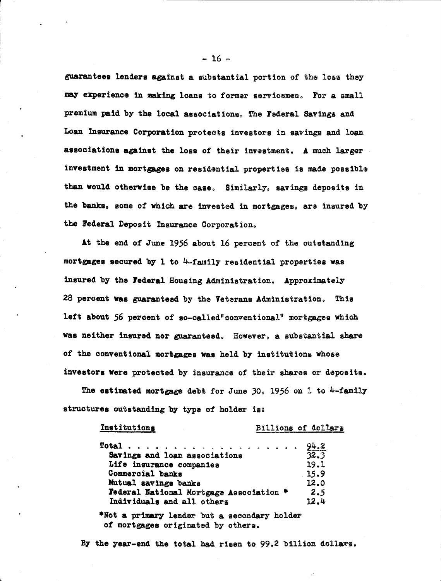guarantees lenders against a substantial portion of the loss they may experience in making loans to former servicemen. For a small premium paid by the local associations. The Federal Savings and Loan Insurance Corporation protects investors in savings and loan associations against the loss of their investment. A much larger investment in mortgages on residential properties is made possible than would otherwise be the case. Similarly, savings deposits in the banks, some of which are invested in mortgages, are insured by the Federal Deposit Insurance Corporation.

At the end of June 1956 about 16 percent of the outstanding mortgages secured by 1 to 4-family residential properties was insured by the Federal Housing Administration. Approximately 28 percent was guaranteed by the Veterans Administration. This left about 56 percent of so-called"conventional" mortgages which was neither insured nor guaranteed. However, a substantial share of the conventional mortgages was held by institutions whose investors were protected by insurance of their shares or deposits.

The estimated mortgage debt for June 30, 1956 on 1 to  $4$ -family structures outstanding by type of holder is:

| <b>Institutions</b> |  |
|---------------------|--|
|                     |  |

#### Billions of dollars

|                                         |  | 94.2 |
|-----------------------------------------|--|------|
| Savings and loan associations           |  | 32.3 |
| Life insurance companies                |  | 19.1 |
| Commercial banks                        |  | 15.9 |
| Mutual savings banks                    |  | 12.0 |
| Federal National Mortgage Association * |  | 2.5  |
| Individuals and all others              |  | 12.4 |

\*Not a primary lender but a secondary holder of mortgages originated by others.

By the year-end the total had risen to 99.2 billion dollars.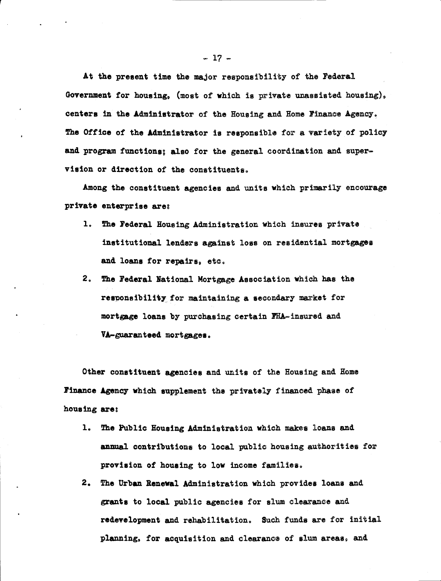At the present time the major responsibility of the Federal Government for housing, (most of which is private unassisted housing), centers in the Administrator of the Housing and Home Finance Agency. The Office of the Administrator is responsible for a variety of policy and program functions; also for the general coordination and supervision or direction of the constituents.

Among the constituent agencies and units which primarily encourage private enterprise are:

- 1. The Federal Housing Administration which insures private institutional lenders against loss on residential mortgages and loans for repairs, etc.
- 2. The Federal National Mortgage Association which has the responsibility for maintaining a secondary market for mortgage loans by purchasing certain FHA-insured and VA-guaranteed mortgages.

Other constituent agencies and units of the Housing and Home Finance Agency which supplement the privately financed phase of housing are:

- 1. The Public Housing Administration which makes loans and annual contributions to local public housing authorities for provision of housing to low income families.
- 2. The Urban Renewal Administration which provides loans and grants to local public agencies for slum clearance and redevelopment and rehabilitation. Such funds are for initial planning, for acquisition and clearance of slum areas, and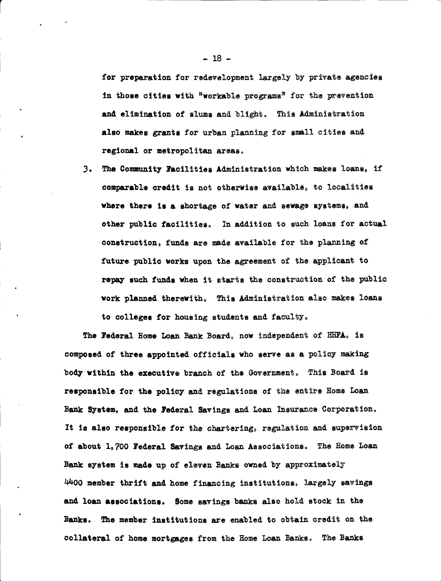for preparation for redevelopment largely by private agencies in those cities with "workable programs" for the prevention and elimination of slums and blight. This Administration also makes grants for urban planning for small cities and regional or metropolitan areas.

The Community Facilities Administration which makes loans, if  $3.$ comparable credit is not otherwise available, to localities where there is a shortage of water and sewage systems, and other public facilities. In addition to such loans for actual construction, funds are made available for the planning of future public works upon the agreement of the applicant to repay such funds when it starts the construction of the public work planned therewith. This Administration also makes loans to colleges for housing students and faculty.

The Federal Home Loan Bank Board, now independent of HHFA, is composed of three appointed officials who serve as a policy making body within the executive branch of the Government. This Board is responsible for the policy and regulations of the entire Home Loan Bank System, and the Federal Savings and Loan Insurance Corporation. It is also responsible for the chartering, regulation and supervision of about 1,700 Federal Savings and Loan Associations. The Home Loan Bank system is made up of eleven Banks owned by approximately 4400 member thrift and home financing institutions, largely savings and loan associations. Some savings banks also hold stock in the Banks. The member institutions are enabled to obtain credit on the collateral of home mortgages from the Home Loan Banks. The Banks

 $-18-$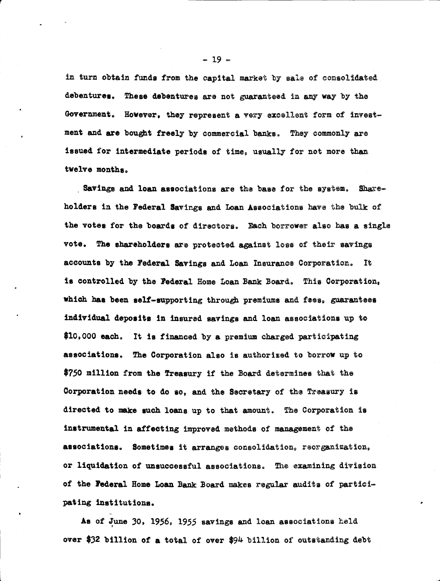in turn obtain funds from the capital market by sale of consolidated debentures. These debentures are not guaranteed in any way by the Government. However, they represent a very excellent form of investment and are bought freely by commercial banks. They commonly are issued for intermediate periods of time, usually for not more than twelve months.

Savings and loan associations are the base for the system. Shareholders in the Federal Savings and Loan Associations have the bulk of the votes for the boards of directors. Each borrower also has a single vote. The shareholders are protected against loss of their savings accounts by the Federal Savings and Loan Insurance Corporation. It is controlled by the Federal Home Loan Bank Board. This Corporation, which has been self-supporting through premiums and fees, guarantees individual deposits in insured savings and loan associations up to \$10,000 each. It is financed by a premium charged participating associations. The Corporation also is authorized to borrow up to \$750 million from the Treasury if the Board determines that the Corporation needs to do so, and the Secretary of the Treasury is directed to make such loans up to that amount. The Corporation is instrumental in affecting improved methods of management of the associations. Sometimes it arranges consolidation, reorganization, or liquidation of unsuccessful associations. The examining division of the Federal Home Loan Bank Board makes regular audits of participating institutions.

As of June 30, 1956, 1955 savings and loan associations held over \$32 billion of a total of over \$94 billion of outstanding debt

 $-19-$